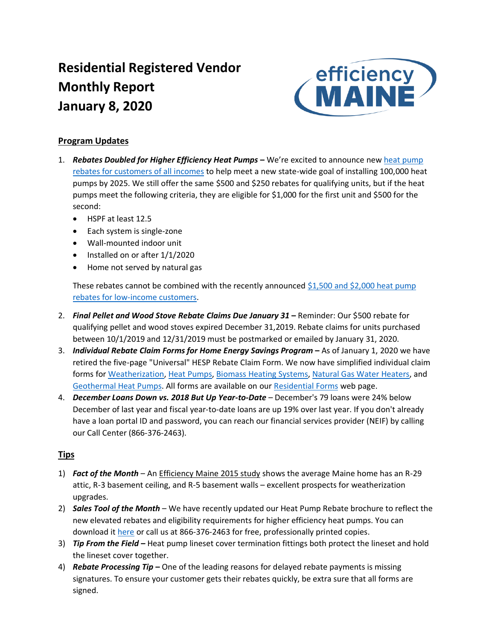# **Residential Registered Vendor Monthly Report January 8, 2020**



# **Program Updates**

- 1. *Rebates Doubled for Higher Efficiency Heat Pumps* **–** We're excited to announce new [heat pump](https://www.efficiencymaine.com/at-home/ductless-heat-pumps/)  [rebates for customers of all incomes](https://www.efficiencymaine.com/at-home/ductless-heat-pumps/) to help meet a new state-wide goal of installing 100,000 heat pumps by 2025. We still offer the same \$500 and \$250 rebates for qualifying units, but if the heat pumps meet the following criteria, they are eligible for \$1,000 for the first unit and \$500 for the second:
	- HSPF at least 12.5
	- Each system is single-zone
	- Wall-mounted indoor unit
	- Installed on or after 1/1/2020
	- Home not served by natural gas

These rebates cannot be combined with the recently announce[d \\$1,500 and \\$2,000 heat pump](https://www.efficiencymaine.com/income-eligible-heat-pump/)  [rebates for low-income customers.](https://www.efficiencymaine.com/income-eligible-heat-pump/)

- 2. *Final Pellet and Wood Stove Rebate Claims Due January 31* **–** Reminder: Our \$500 rebate for qualifying pellet and wood stoves expired December 31,2019. Rebate claims for units purchased between 10/1/2019 and 12/31/2019 must be postmarked or emailed by January 31, 2020.
- 3. *Individual Rebate Claim Forms for Home Energy Savings Program* **–** As of January 1, 2020 we have retired the five-page "Universal" HESP Rebate Claim Form. We now have simplified individual claim forms for [Weatherization,](https://www.efficiencymaine.com/docs/Weatherization-Rebate-Claim-Form.pdf) [Heat Pumps,](https://www.efficiencymaine.com/docs/Residential-Heat-Pump-Rebate-Claim-Form.pdf) [Biomass Heating Systems,](https://www.efficiencymaine.com/docs/Biomass-Heating-Systems-Rebate-Claim-Form.pdf) [Natural Gas Water Heaters,](https://www.efficiencymaine.com/docs/Natural-Gas-Water-Heaters-Rebate-Claim-Form.pdf) and [Geothermal Heat Pumps.](https://www.efficiencymaine.com/docs/Geothermal-Rebate-Claim-Form.pdf) All forms are available on our [Residential Forms](https://www.efficiencymaine.com/at-home/residential-forms/) web page.
- 4. *December Loans Down vs. 2018 But Up Year-to-Date* December's 79 loans were 24% below December of last year and fiscal year-to-date loans are up 19% over last year. If you don't already have a loan portal ID and password, you can reach our financial services provider (NEIF) by calling our Call Center (866-376-2463).

# **Tips**

- 1) *Fact of the Month* An [Efficiency Maine 2015 study](https://www.efficiencymaine.com/docs/2015-Maine-Residential-Baseline-Study-Report-NMR.pdf) shows the average Maine home has an R-29 attic, R-3 basement ceiling, and R-5 basement walls – excellent prospects for weatherization upgrades.
- 2) *Sales Tool of the Month* We have recently updated our Heat Pump Rebate brochure to reflect the new elevated rebates and eligibility requirements for higher efficiency heat pumps. You can download it [here](https://www.efficiencymaine.com/docs/Heat-Pump-Rebate-Brochure.pdf) or call us at 866-376-2463 for free, professionally printed copies.
- 3) *Tip From the Field –* Heat pump lineset cover termination fittings both protect the lineset and hold the lineset cover together.
- 4) *Rebate Processing Tip* **–** One of the leading reasons for delayed rebate payments is missing signatures. To ensure your customer gets their rebates quickly, be extra sure that all forms are signed.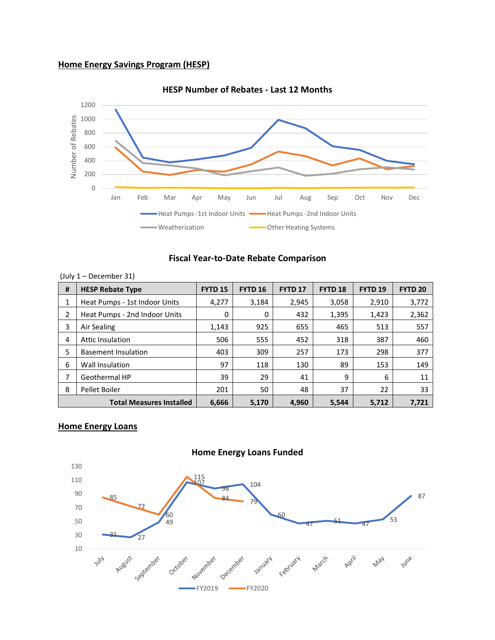## **Home Energy Savings Program (HESP)**



**HESP Number of Rebates - Last 12 Months**

#### **Fiscal Year-to-Date Rebate Comparison**

| # | <b>HESP Rebate Type</b>         | <b>FYTD 15</b> | <b>FYTD 16</b> | <b>FYTD 17</b> | <b>FYTD 18</b> | <b>FYTD 19</b> | <b>FYTD 20</b> |
|---|---------------------------------|----------------|----------------|----------------|----------------|----------------|----------------|
| 1 | Heat Pumps - 1st Indoor Units   | 4,277          | 3,184          | 2,945          | 3,058          | 2,910          | 3,772          |
| 2 | Heat Pumps - 2nd Indoor Units   | 0              | 0              | 432            | 1,395          | 1,423          | 2,362          |
| 3 | Air Sealing                     | 1,143          | 925            | 655            | 465            | 513            | 557            |
| 4 | <b>Attic Insulation</b>         | 506            | 555            | 452            | 318            | 387            | 460            |
| 5 | <b>Basement Insulation</b>      | 403            | 309            | 257            | 173            | 298            | 377            |
| 6 | Wall Insulation                 | 97             | 118            | 130            | 89             | 153            | 149            |
| 7 | Geothermal HP                   | 39             | 29             | 41             | 9              | 6              | 11             |
| 8 | Pellet Boiler                   | 201            | 50             | 48             | 37             | 22             | 33             |
|   | <b>Total Measures Installed</b> | 6,666          | 5,170          | 4,960          | 5,544          | 5,712          | 7,721          |

#### (July 1 – December 31)

## **Home Energy Loans**



## **Home Energy Loans Funded**